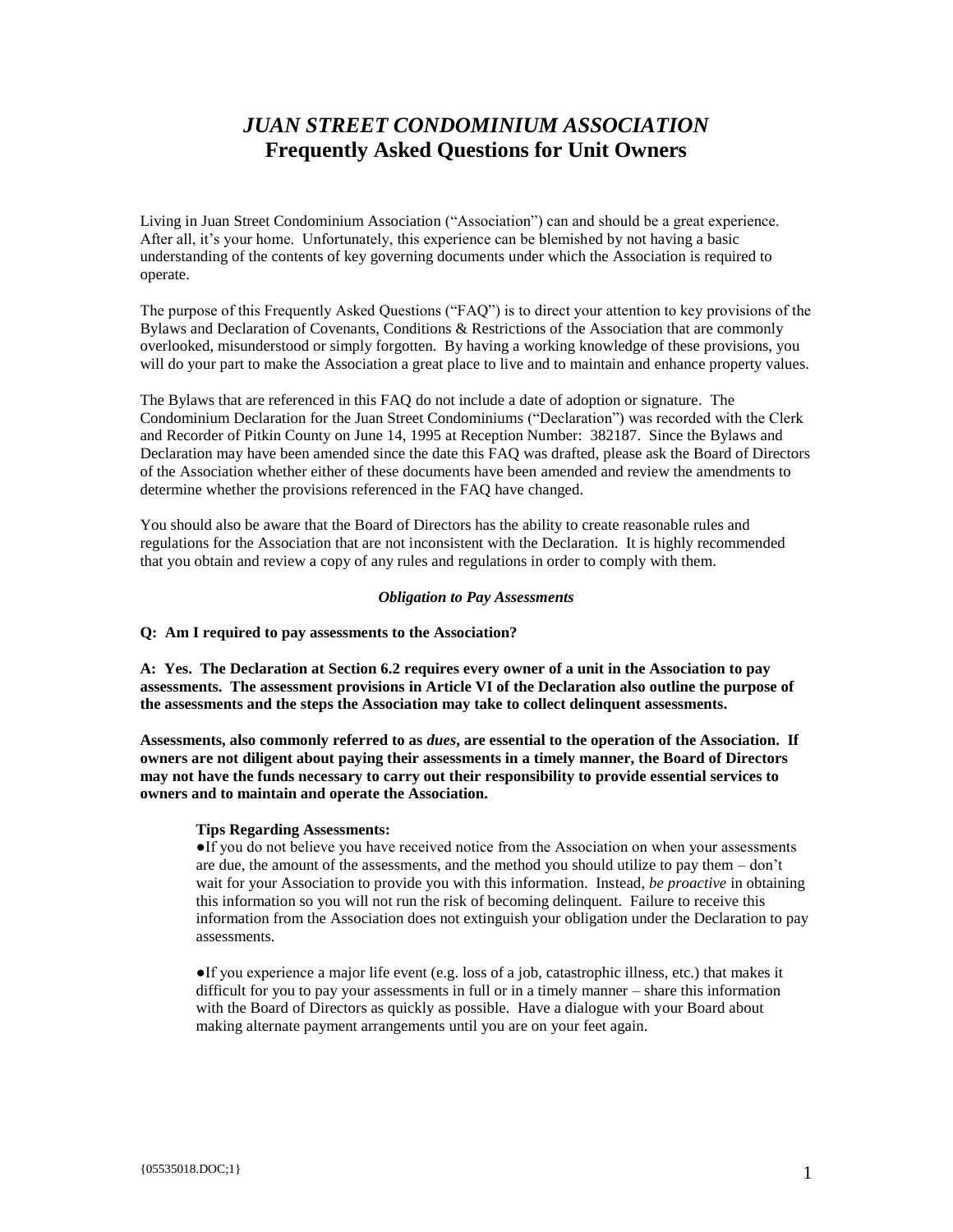# *JUAN STREET CONDOMINIUM ASSOCIATION* **Frequently Asked Questions for Unit Owners**

Living in Juan Street Condominium Association ("Association") can and should be a great experience. After all, it's your home. Unfortunately, this experience can be blemished by not having a basic understanding of the contents of key governing documents under which the Association is required to operate.

The purpose of this Frequently Asked Questions ("FAQ") is to direct your attention to key provisions of the Bylaws and Declaration of Covenants, Conditions & Restrictions of the Association that are commonly overlooked, misunderstood or simply forgotten. By having a working knowledge of these provisions, you will do your part to make the Association a great place to live and to maintain and enhance property values.

The Bylaws that are referenced in this FAQ do not include a date of adoption or signature. The Condominium Declaration for the Juan Street Condominiums ("Declaration") was recorded with the Clerk and Recorder of Pitkin County on June 14, 1995 at Reception Number: 382187. Since the Bylaws and Declaration may have been amended since the date this FAQ was drafted, please ask the Board of Directors of the Association whether either of these documents have been amended and review the amendments to determine whether the provisions referenced in the FAQ have changed.

You should also be aware that the Board of Directors has the ability to create reasonable rules and regulations for the Association that are not inconsistent with the Declaration. It is highly recommended that you obtain and review a copy of any rules and regulations in order to comply with them.

## *Obligation to Pay Assessments*

## **Q: Am I required to pay assessments to the Association?**

**A: Yes. The Declaration at Section 6.2 requires every owner of a unit in the Association to pay assessments. The assessment provisions in Article VI of the Declaration also outline the purpose of the assessments and the steps the Association may take to collect delinquent assessments.** 

**Assessments, also commonly referred to as** *dues***, are essential to the operation of the Association. If owners are not diligent about paying their assessments in a timely manner, the Board of Directors may not have the funds necessary to carry out their responsibility to provide essential services to owners and to maintain and operate the Association.**

# **Tips Regarding Assessments:**

●If you do not believe you have received notice from the Association on when your assessments are due, the amount of the assessments, and the method you should utilize to pay them – don't wait for your Association to provide you with this information. Instead, *be proactive* in obtaining this information so you will not run the risk of becoming delinquent. Failure to receive this information from the Association does not extinguish your obligation under the Declaration to pay assessments.

 $\bullet$ If you experience a major life event (e.g. loss of a job, catastrophic illness, etc.) that makes it difficult for you to pay your assessments in full or in a timely manner – share this information with the Board of Directors as quickly as possible. Have a dialogue with your Board about making alternate payment arrangements until you are on your feet again.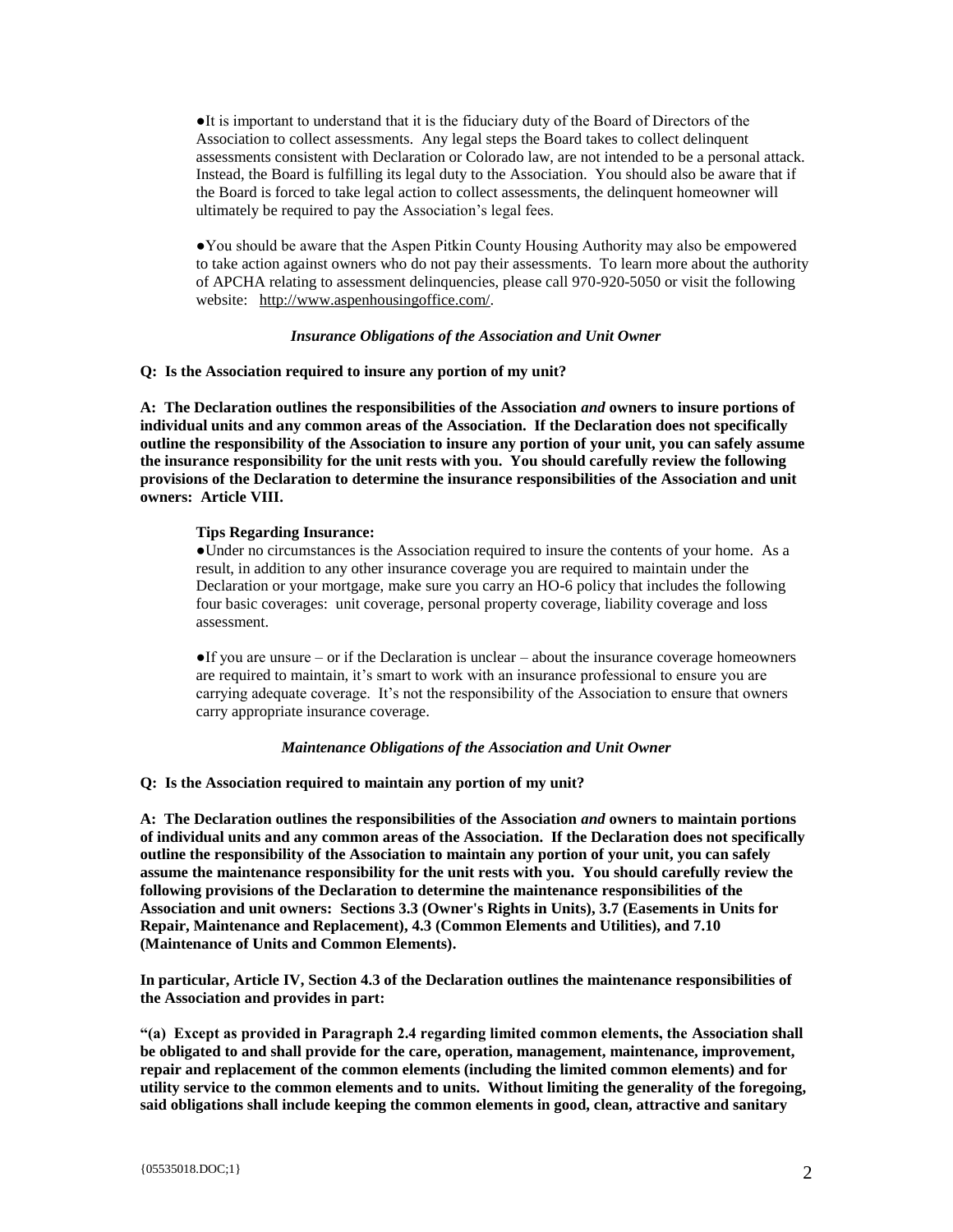●It is important to understand that it is the fiduciary duty of the Board of Directors of the Association to collect assessments. Any legal steps the Board takes to collect delinquent assessments consistent with Declaration or Colorado law, are not intended to be a personal attack. Instead, the Board is fulfilling its legal duty to the Association. You should also be aware that if the Board is forced to take legal action to collect assessments, the delinquent homeowner will ultimately be required to pay the Association's legal fees.

●You should be aware that the Aspen Pitkin County Housing Authority may also be empowered to take action against owners who do not pay their assessments. To learn more about the authority of APCHA relating to assessment delinquencies, please call 970-920-5050 or visit the following website: [http://www.aspenhousingoffice.com/.](http://www.aspenhousingoffice.com/)

#### *Insurance Obligations of the Association and Unit Owner*

**Q: Is the Association required to insure any portion of my unit?**

**A: The Declaration outlines the responsibilities of the Association** *and* **owners to insure portions of individual units and any common areas of the Association. If the Declaration does not specifically outline the responsibility of the Association to insure any portion of your unit, you can safely assume the insurance responsibility for the unit rests with you. You should carefully review the following provisions of the Declaration to determine the insurance responsibilities of the Association and unit owners: Article VIII.**

#### **Tips Regarding Insurance:**

**●**Under no circumstances is the Association required to insure the contents of your home. As a result, in addition to any other insurance coverage you are required to maintain under the Declaration or your mortgage, make sure you carry an HO-6 policy that includes the following four basic coverages: unit coverage, personal property coverage, liability coverage and loss assessment.

●If you are unsure – or if the Declaration is unclear – about the insurance coverage homeowners are required to maintain, it's smart to work with an insurance professional to ensure you are carrying adequate coverage. It's not the responsibility of the Association to ensure that owners carry appropriate insurance coverage.

#### *Maintenance Obligations of the Association and Unit Owner*

**Q: Is the Association required to maintain any portion of my unit?**

**A: The Declaration outlines the responsibilities of the Association** *and* **owners to maintain portions of individual units and any common areas of the Association. If the Declaration does not specifically outline the responsibility of the Association to maintain any portion of your unit, you can safely assume the maintenance responsibility for the unit rests with you. You should carefully review the following provisions of the Declaration to determine the maintenance responsibilities of the Association and unit owners: Sections 3.3 (Owner's Rights in Units), 3.7 (Easements in Units for Repair, Maintenance and Replacement), 4.3 (Common Elements and Utilities), and 7.10 (Maintenance of Units and Common Elements).**

**In particular, Article IV, Section 4.3 of the Declaration outlines the maintenance responsibilities of the Association and provides in part:** 

**"(a) Except as provided in Paragraph 2.4 regarding limited common elements, the Association shall be obligated to and shall provide for the care, operation, management, maintenance, improvement, repair and replacement of the common elements (including the limited common elements) and for utility service to the common elements and to units. Without limiting the generality of the foregoing, said obligations shall include keeping the common elements in good, clean, attractive and sanitary**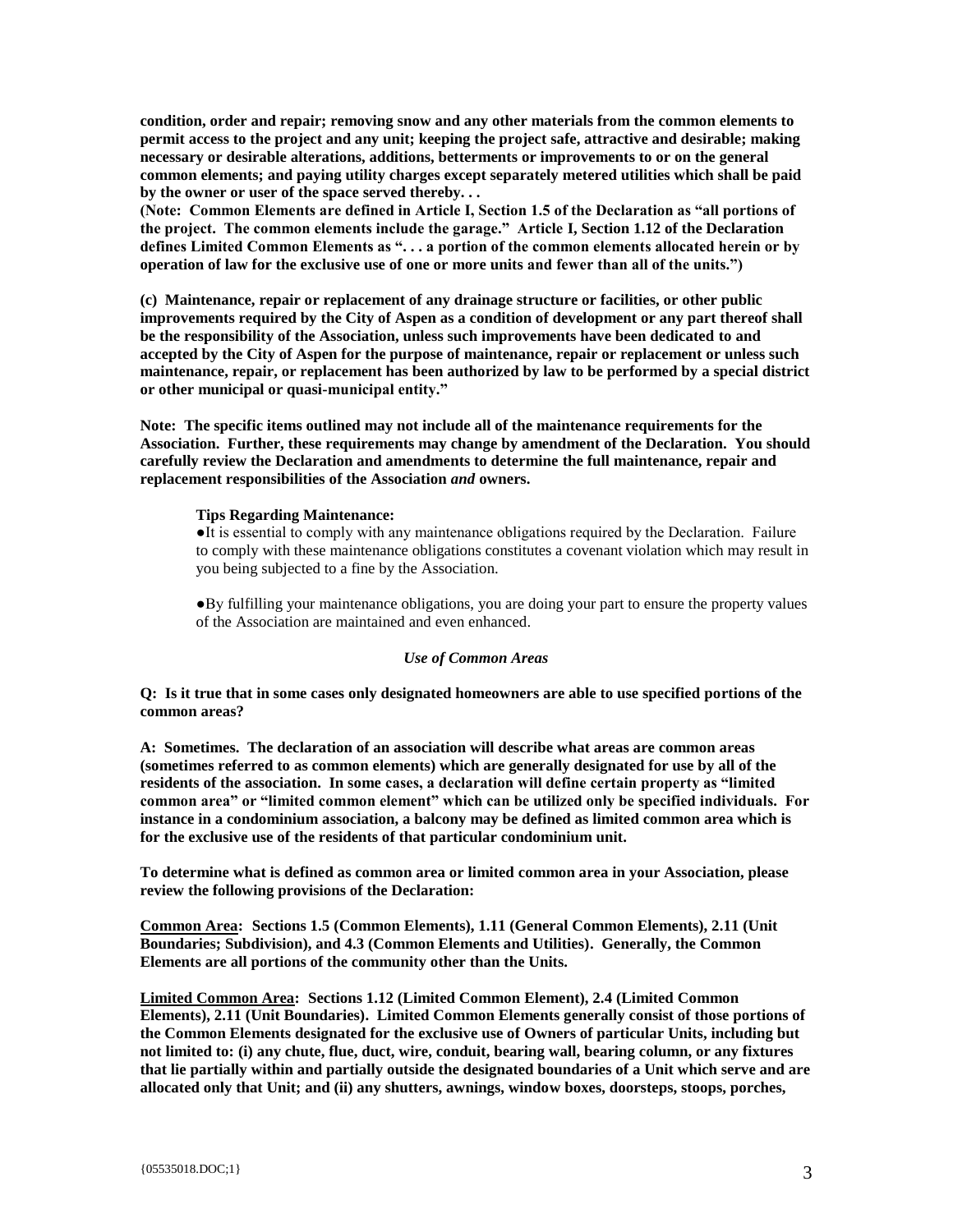**condition, order and repair; removing snow and any other materials from the common elements to permit access to the project and any unit; keeping the project safe, attractive and desirable; making necessary or desirable alterations, additions, betterments or improvements to or on the general common elements; and paying utility charges except separately metered utilities which shall be paid by the owner or user of the space served thereby. . .** 

**(Note: Common Elements are defined in Article I, Section 1.5 of the Declaration as "all portions of the project. The common elements include the garage." Article I, Section 1.12 of the Declaration defines Limited Common Elements as ". . . a portion of the common elements allocated herein or by operation of law for the exclusive use of one or more units and fewer than all of the units.")**

**(c) Maintenance, repair or replacement of any drainage structure or facilities, or other public improvements required by the City of Aspen as a condition of development or any part thereof shall be the responsibility of the Association, unless such improvements have been dedicated to and accepted by the City of Aspen for the purpose of maintenance, repair or replacement or unless such maintenance, repair, or replacement has been authorized by law to be performed by a special district or other municipal or quasi-municipal entity."** 

**Note: The specific items outlined may not include all of the maintenance requirements for the Association. Further, these requirements may change by amendment of the Declaration. You should carefully review the Declaration and amendments to determine the full maintenance, repair and replacement responsibilities of the Association** *and* **owners.** 

## **Tips Regarding Maintenance:**

●It is essential to comply with any maintenance obligations required by the Declaration. Failure to comply with these maintenance obligations constitutes a covenant violation which may result in you being subjected to a fine by the Association.

●By fulfilling your maintenance obligations, you are doing your part to ensure the property values of the Association are maintained and even enhanced.

# *Use of Common Areas*

**Q: Is it true that in some cases only designated homeowners are able to use specified portions of the common areas?**

**A: Sometimes. The declaration of an association will describe what areas are common areas (sometimes referred to as common elements) which are generally designated for use by all of the residents of the association. In some cases, a declaration will define certain property as "limited common area" or "limited common element" which can be utilized only be specified individuals. For instance in a condominium association, a balcony may be defined as limited common area which is for the exclusive use of the residents of that particular condominium unit.** 

**To determine what is defined as common area or limited common area in your Association, please review the following provisions of the Declaration:** 

**Common Area: Sections 1.5 (Common Elements), 1.11 (General Common Elements), 2.11 (Unit Boundaries; Subdivision), and 4.3 (Common Elements and Utilities). Generally, the Common Elements are all portions of the community other than the Units.**

**Limited Common Area: Sections 1.12 (Limited Common Element), 2.4 (Limited Common Elements), 2.11 (Unit Boundaries). Limited Common Elements generally consist of those portions of the Common Elements designated for the exclusive use of Owners of particular Units, including but not limited to: (i) any chute, flue, duct, wire, conduit, bearing wall, bearing column, or any fixtures that lie partially within and partially outside the designated boundaries of a Unit which serve and are allocated only that Unit; and (ii) any shutters, awnings, window boxes, doorsteps, stoops, porches,**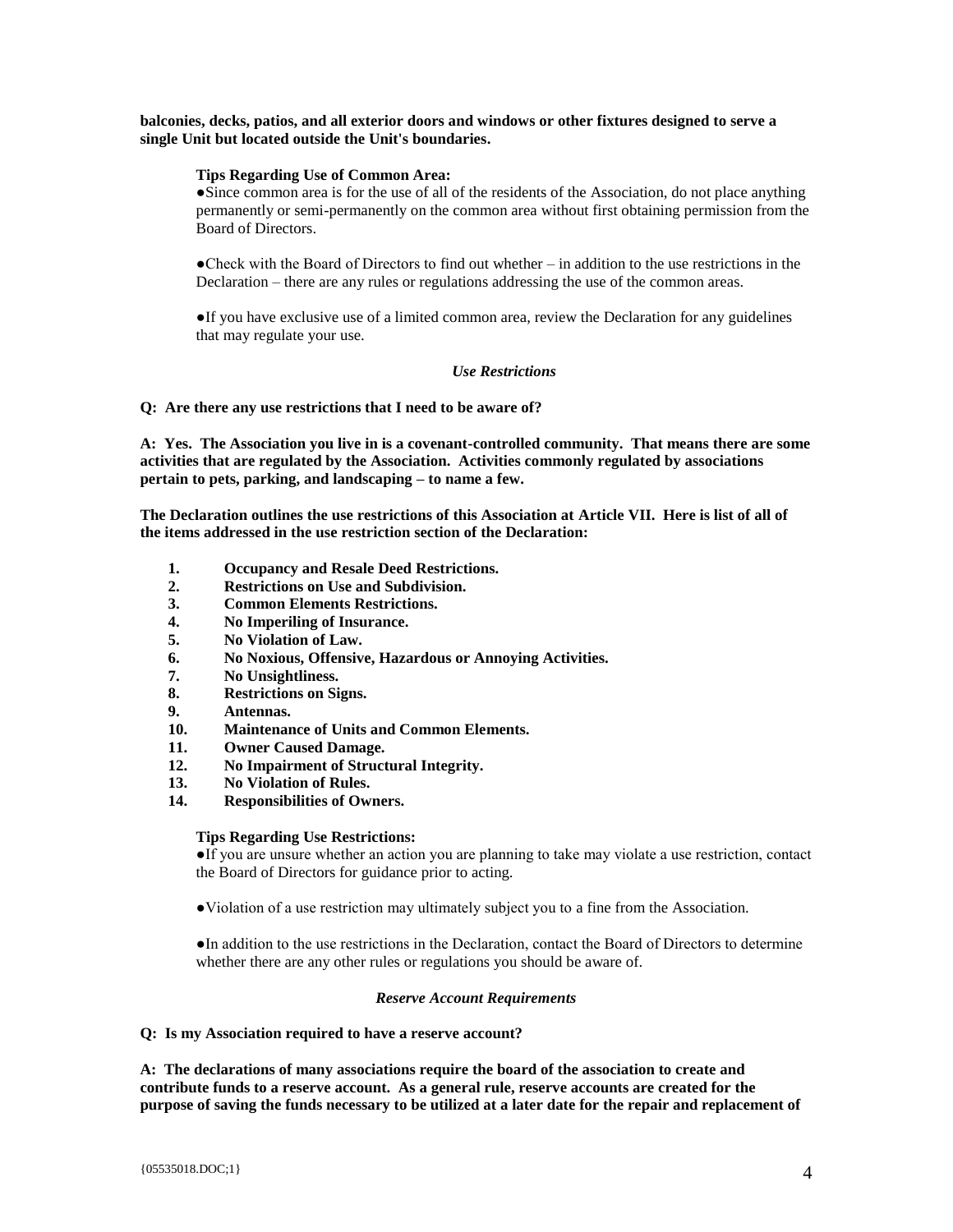**balconies, decks, patios, and all exterior doors and windows or other fixtures designed to serve a single Unit but located outside the Unit's boundaries.**

# **Tips Regarding Use of Common Area:**

**●**Since common area is for the use of all of the residents of the Association, do not place anything permanently or semi-permanently on the common area without first obtaining permission from the Board of Directors.

●Check with the Board of Directors to find out whether – in addition to the use restrictions in the Declaration – there are any rules or regulations addressing the use of the common areas.

**●**If you have exclusive use of a limited common area, review the Declaration for any guidelines that may regulate your use.

## *Use Restrictions*

**Q: Are there any use restrictions that I need to be aware of?** 

**A: Yes. The Association you live in is a covenant-controlled community. That means there are some activities that are regulated by the Association. Activities commonly regulated by associations pertain to pets, parking, and landscaping – to name a few.** 

**The Declaration outlines the use restrictions of this Association at Article VII. Here is list of all of the items addressed in the use restriction section of the Declaration:** 

- **1. Occupancy and Resale Deed Restrictions.**
- **2. Restrictions on Use and Subdivision.**
- **3. Common Elements Restrictions.**
- **4. No Imperiling of Insurance.**
- **5. No Violation of Law.**
- **6. No Noxious, Offensive, Hazardous or Annoying Activities.**
- **7. No Unsightliness.**
- **8. Restrictions on Signs.**
- **9. Antennas.**
- **10. Maintenance of Units and Common Elements.**
- **11. Owner Caused Damage.**
- **12. No Impairment of Structural Integrity.**
- **13. No Violation of Rules.**
- **14. Responsibilities of Owners.**

#### **Tips Regarding Use Restrictions:**

●If you are unsure whether an action you are planning to take may violate a use restriction, contact the Board of Directors for guidance prior to acting.

●Violation of a use restriction may ultimately subject you to a fine from the Association.

●In addition to the use restrictions in the Declaration, contact the Board of Directors to determine whether there are any other rules or regulations you should be aware of.

#### *Reserve Account Requirements*

#### **Q: Is my Association required to have a reserve account?**

**A: The declarations of many associations require the board of the association to create and contribute funds to a reserve account. As a general rule, reserve accounts are created for the purpose of saving the funds necessary to be utilized at a later date for the repair and replacement of**